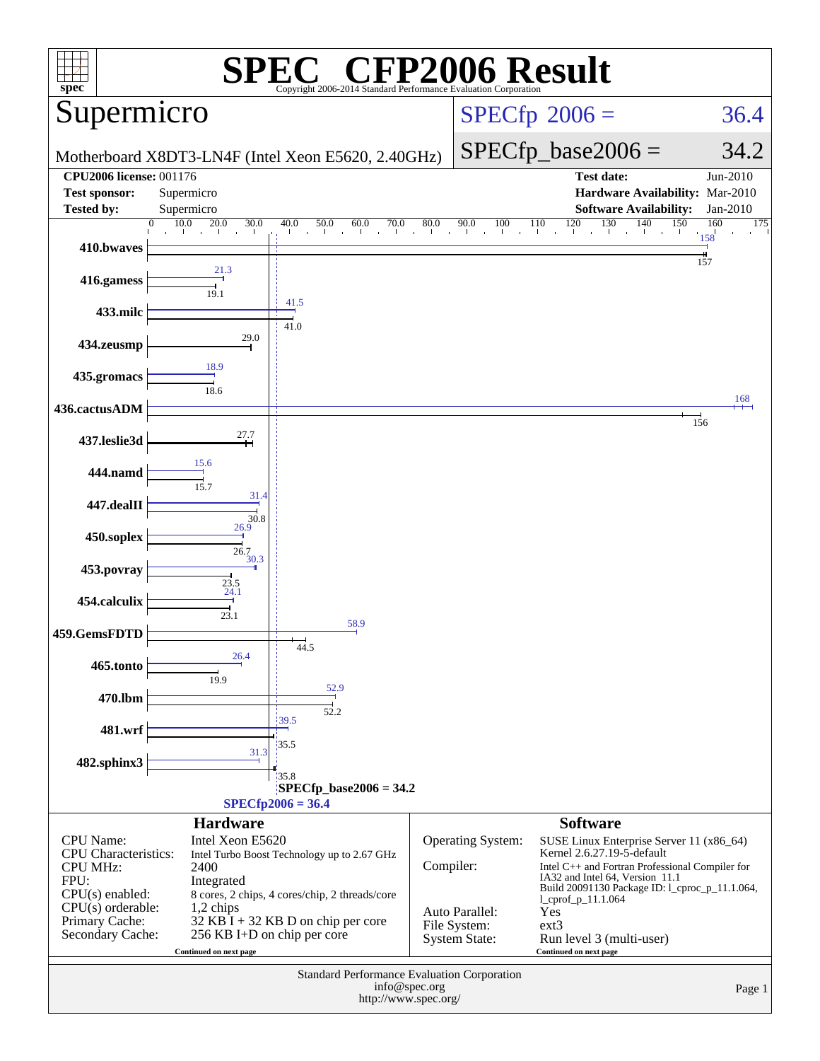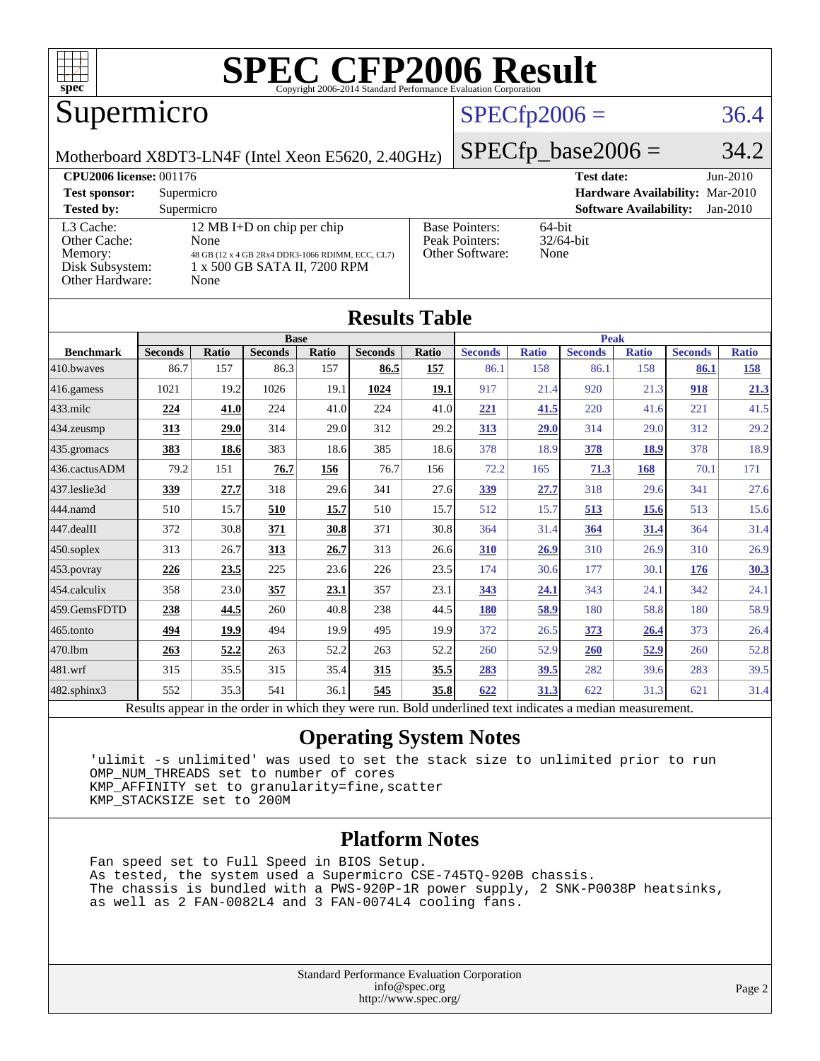

### Supermicro

#### $SPECfp2006 = 36.4$  $SPECfp2006 = 36.4$

Motherboard X8DT3-LN4F (Intel Xeon E5620, 2.40GHz)

 $SPECTp\_base2006 = 34.2$ 

| <b>CPU2006 license: 001176</b>                                             |                                                                                                                                |                                                            | $Jun-2010$<br><b>Test date:</b>             |
|----------------------------------------------------------------------------|--------------------------------------------------------------------------------------------------------------------------------|------------------------------------------------------------|---------------------------------------------|
| <b>Test sponsor:</b>                                                       | Supermicro                                                                                                                     |                                                            | Hardware Availability: Mar-2010             |
| <b>Tested by:</b>                                                          | Supermicro                                                                                                                     |                                                            | <b>Software Availability:</b><br>$Jan-2010$ |
| L3 Cache:<br>Other Cache:<br>Memory:<br>Disk Subsystem:<br>Other Hardware: | 12 MB I+D on chip per chip<br>None<br>48 GB (12 x 4 GB 2Rx4 DDR3-1066 RDIMM, ECC, CL7)<br>1 x 500 GB SATA II, 7200 RPM<br>None | <b>Base Pointers:</b><br>Peak Pointers:<br>Other Software: | $64$ -bit<br>$32/64$ -bit<br>None           |

**[Results Table](http://www.spec.org/auto/cpu2006/Docs/result-fields.html#ResultsTable)**

| Results Table                                                                                            |                |              |                |       |                |             |                |              |                |              |                |              |
|----------------------------------------------------------------------------------------------------------|----------------|--------------|----------------|-------|----------------|-------------|----------------|--------------|----------------|--------------|----------------|--------------|
|                                                                                                          |                |              | <b>Base</b>    |       |                | <b>Peak</b> |                |              |                |              |                |              |
| <b>Benchmark</b>                                                                                         | <b>Seconds</b> | <b>Ratio</b> | <b>Seconds</b> | Ratio | <b>Seconds</b> | Ratio       | <b>Seconds</b> | <b>Ratio</b> | <b>Seconds</b> | <b>Ratio</b> | <b>Seconds</b> | <b>Ratio</b> |
| 410.bwaves                                                                                               | 86.7           | 157          | 86.3           | 157   | 86.5           | <u>157</u>  | 86.1           | 158          | 86.1           | 158          | 86.1           | <u>158</u>   |
| 416.gamess                                                                                               | 1021           | 19.2         | 1026           | 19.1  | 1024           | 19.1        | 917            | 21.4         | 920            | 21.3         | 918            | 21.3         |
| $433$ .milc                                                                                              | 224            | 41.0         | 224            | 41.0  | 224            | 41.0        | 221            | 41.5         | 220            | 41.6         | 221            | 41.5         |
| $434$ . zeusmp                                                                                           | 313            | 29.0         | 314            | 29.0  | 312            | 29.2        | 313            | 29.0         | 314            | 29.0         | 312            | 29.2         |
| 435.gromacs                                                                                              | 383            | 18.6         | 383            | 18.6  | 385            | 18.6        | 378            | 18.9         | 378            | 18.9         | 378            | 18.9         |
| 436.cactusADM                                                                                            | 79.2           | 151          | 76.7           | 156   | 76.7           | 156         | 72.2           | 165          | 71.3           | 168          | 70.1           | 171          |
| 437.leslie3d                                                                                             | 339            | 27.7         | 318            | 29.6  | 341            | 27.6        | <u>339</u>     | 27.7         | 318            | 29.6         | 341            | 27.6         |
| 444.namd                                                                                                 | 510            | 15.7         | 510            | 15.7  | 510            | 15.7        | 512            | 15.7         | 513            | 15.6         | 513            | 15.6         |
| $447$ .dealII                                                                                            | 372            | 30.8         | 371            | 30.8  | 371            | 30.8        | 364            | 31.4         | 364            | 31.4         | 364            | 31.4         |
| $450$ .soplex                                                                                            | 313            | 26.7         | 313            | 26.7  | 313            | 26.6        | 310            | 26.9         | 310            | 26.9         | 310            | 26.9         |
| 453.povray                                                                                               | 226            | 23.5         | 225            | 23.6  | 226            | 23.5        | 174            | 30.6         | 177            | 30.1         | 176            | 30.3         |
| $454$ .calculix                                                                                          | 358            | 23.0         | 357            | 23.1  | 357            | 23.1        | 343            | 24.1         | 343            | 24.1         | 342            | 24.1         |
| 459.GemsFDTD                                                                                             | 238            | 44.5         | 260            | 40.8  | 238            | 44.5        | 180            | 58.9         | 180            | 58.8         | 180            | 58.9         |
| 465.tonto                                                                                                | 494            | 19.9         | 494            | 19.9  | 495            | 19.9        | 372            | 26.5         | 373            | 26.4         | 373            | 26.4         |
| 470.1bm                                                                                                  | 263            | 52.2         | 263            | 52.2  | 263            | 52.2        | 260            | 52.9         | <b>260</b>     | 52.9         | 260            | 52.8         |
| $ 481$ .wrf                                                                                              | 315            | 35.5         | 315            | 35.4  | 315            | 35.5        | 283            | <u>39.5</u>  | 282            | 39.6         | 283            | 39.5         |
| $482$ .sphinx $3$                                                                                        | 552            | 35.3         | 541            | 36.1  | 545            | 35.8        | 622            | 31.3         | 622            | 31.3         | 621            | 31.4         |
| Results appear in the order in which they were run. Bold underlined text indicates a median measurement. |                |              |                |       |                |             |                |              |                |              |                |              |

#### **[Operating System Notes](http://www.spec.org/auto/cpu2006/Docs/result-fields.html#OperatingSystemNotes)**

 'ulimit -s unlimited' was used to set the stack size to unlimited prior to run OMP\_NUM\_THREADS set to number of cores KMP\_AFFINITY set to granularity=fine,scatter KMP\_STACKSIZE set to 200M

#### **[Platform Notes](http://www.spec.org/auto/cpu2006/Docs/result-fields.html#PlatformNotes)**

 Fan speed set to Full Speed in BIOS Setup. As tested, the system used a Supermicro CSE-745TQ-920B chassis. The chassis is bundled with a PWS-920P-1R power supply, 2 SNK-P0038P heatsinks, as well as 2 FAN-0082L4 and 3 FAN-0074L4 cooling fans.

> Standard Performance Evaluation Corporation [info@spec.org](mailto:info@spec.org) <http://www.spec.org/>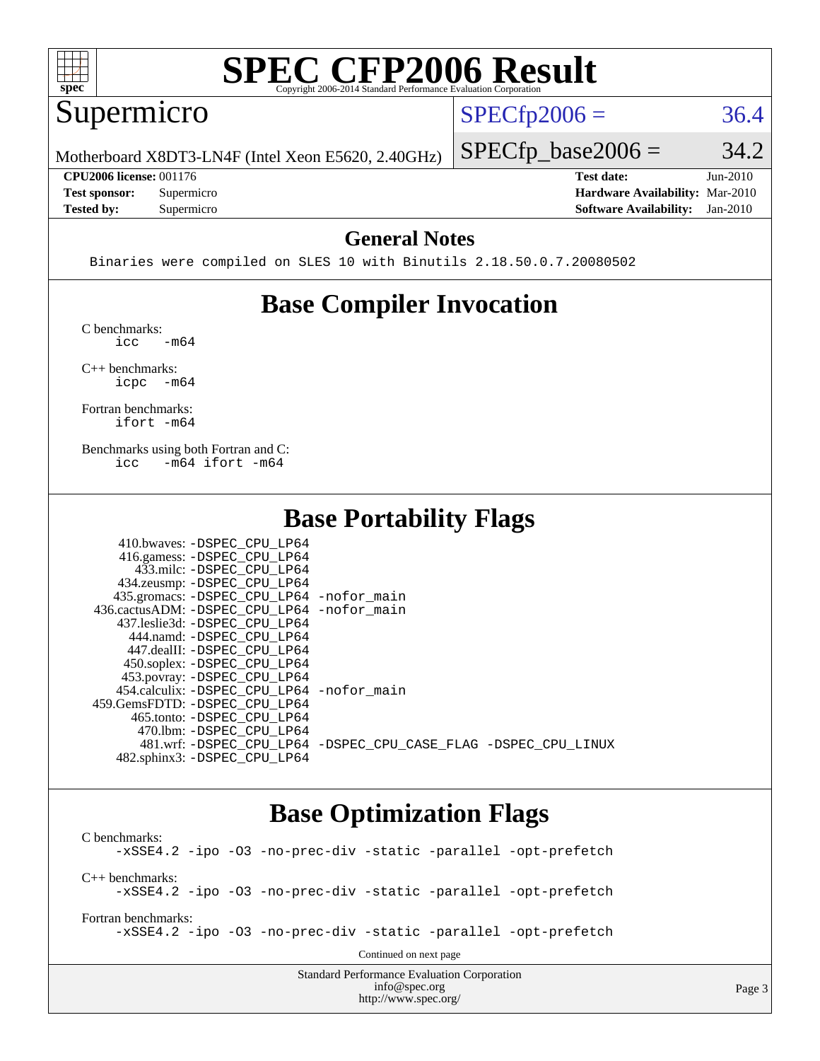

#### Supermicro

 $SPECTp2006 = 36.4$ 

Page 3

Motherboard X8DT3-LN4F (Intel Xeon E5620, 2.40GHz)

 $SPECTp\_base2006 = 34.2$ 

**[CPU2006 license:](http://www.spec.org/auto/cpu2006/Docs/result-fields.html#CPU2006license)** 001176 **[Test date:](http://www.spec.org/auto/cpu2006/Docs/result-fields.html#Testdate)** Jun-2010 **[Test sponsor:](http://www.spec.org/auto/cpu2006/Docs/result-fields.html#Testsponsor)** Supermicro **[Hardware Availability:](http://www.spec.org/auto/cpu2006/Docs/result-fields.html#HardwareAvailability)** Mar-2010 **[Tested by:](http://www.spec.org/auto/cpu2006/Docs/result-fields.html#Testedby)** Supermicro **[Software Availability:](http://www.spec.org/auto/cpu2006/Docs/result-fields.html#SoftwareAvailability)** Jan-2010

#### **[General Notes](http://www.spec.org/auto/cpu2006/Docs/result-fields.html#GeneralNotes)**

Binaries were compiled on SLES 10 with Binutils 2.18.50.0.7.20080502

#### **[Base Compiler Invocation](http://www.spec.org/auto/cpu2006/Docs/result-fields.html#BaseCompilerInvocation)**

[C benchmarks](http://www.spec.org/auto/cpu2006/Docs/result-fields.html#Cbenchmarks):  $\text{icc}$   $-\text{m64}$ 

[C++ benchmarks:](http://www.spec.org/auto/cpu2006/Docs/result-fields.html#CXXbenchmarks) [icpc -m64](http://www.spec.org/cpu2006/results/res2010q3/cpu2006-20100615-11710.flags.html#user_CXXbase_intel_icpc_64bit_bedb90c1146cab66620883ef4f41a67e)

[Fortran benchmarks](http://www.spec.org/auto/cpu2006/Docs/result-fields.html#Fortranbenchmarks): [ifort -m64](http://www.spec.org/cpu2006/results/res2010q3/cpu2006-20100615-11710.flags.html#user_FCbase_intel_ifort_64bit_ee9d0fb25645d0210d97eb0527dcc06e)

[Benchmarks using both Fortran and C](http://www.spec.org/auto/cpu2006/Docs/result-fields.html#BenchmarksusingbothFortranandC): [icc -m64](http://www.spec.org/cpu2006/results/res2010q3/cpu2006-20100615-11710.flags.html#user_CC_FCbase_intel_icc_64bit_0b7121f5ab7cfabee23d88897260401c) [ifort -m64](http://www.spec.org/cpu2006/results/res2010q3/cpu2006-20100615-11710.flags.html#user_CC_FCbase_intel_ifort_64bit_ee9d0fb25645d0210d97eb0527dcc06e)

#### **[Base Portability Flags](http://www.spec.org/auto/cpu2006/Docs/result-fields.html#BasePortabilityFlags)**

| 410.bwaves: -DSPEC CPU LP64                |                                                                |
|--------------------------------------------|----------------------------------------------------------------|
| 416.gamess: -DSPEC_CPU_LP64                |                                                                |
| 433.milc: -DSPEC CPU LP64                  |                                                                |
| 434.zeusmp: -DSPEC_CPU_LP64                |                                                                |
| 435.gromacs: -DSPEC_CPU_LP64 -nofor_main   |                                                                |
| 436.cactusADM: -DSPEC CPU LP64 -nofor main |                                                                |
| 437.leslie3d: -DSPEC CPU LP64              |                                                                |
| 444.namd: -DSPEC CPU LP64                  |                                                                |
| 447.dealII: -DSPEC CPU LP64                |                                                                |
| 450.soplex: -DSPEC_CPU_LP64                |                                                                |
| 453.povray: -DSPEC_CPU_LP64                |                                                                |
| 454.calculix: -DSPEC CPU LP64 -nofor main  |                                                                |
| 459. GemsFDTD: - DSPEC CPU LP64            |                                                                |
| 465.tonto: -DSPEC CPU LP64                 |                                                                |
| 470.1bm: - DSPEC CPU LP64                  |                                                                |
|                                            | 481.wrf: -DSPEC CPU_LP64 -DSPEC_CPU_CASE_FLAG -DSPEC_CPU_LINUX |
| 482.sphinx3: -DSPEC CPU LP64               |                                                                |

#### **[Base Optimization Flags](http://www.spec.org/auto/cpu2006/Docs/result-fields.html#BaseOptimizationFlags)**

<http://www.spec.org/>

Standard Performance Evaluation Corporation [info@spec.org](mailto:info@spec.org) [C benchmarks](http://www.spec.org/auto/cpu2006/Docs/result-fields.html#Cbenchmarks): [-xSSE4.2](http://www.spec.org/cpu2006/results/res2010q3/cpu2006-20100615-11710.flags.html#user_CCbase_f-xSSE42_f91528193cf0b216347adb8b939d4107) [-ipo](http://www.spec.org/cpu2006/results/res2010q3/cpu2006-20100615-11710.flags.html#user_CCbase_f-ipo) [-O3](http://www.spec.org/cpu2006/results/res2010q3/cpu2006-20100615-11710.flags.html#user_CCbase_f-O3) [-no-prec-div](http://www.spec.org/cpu2006/results/res2010q3/cpu2006-20100615-11710.flags.html#user_CCbase_f-no-prec-div) [-static](http://www.spec.org/cpu2006/results/res2010q3/cpu2006-20100615-11710.flags.html#user_CCbase_f-static) [-parallel](http://www.spec.org/cpu2006/results/res2010q3/cpu2006-20100615-11710.flags.html#user_CCbase_f-parallel) [-opt-prefetch](http://www.spec.org/cpu2006/results/res2010q3/cpu2006-20100615-11710.flags.html#user_CCbase_f-opt-prefetch) [C++ benchmarks:](http://www.spec.org/auto/cpu2006/Docs/result-fields.html#CXXbenchmarks) [-xSSE4.2](http://www.spec.org/cpu2006/results/res2010q3/cpu2006-20100615-11710.flags.html#user_CXXbase_f-xSSE42_f91528193cf0b216347adb8b939d4107) [-ipo](http://www.spec.org/cpu2006/results/res2010q3/cpu2006-20100615-11710.flags.html#user_CXXbase_f-ipo) [-O3](http://www.spec.org/cpu2006/results/res2010q3/cpu2006-20100615-11710.flags.html#user_CXXbase_f-O3) [-no-prec-div](http://www.spec.org/cpu2006/results/res2010q3/cpu2006-20100615-11710.flags.html#user_CXXbase_f-no-prec-div) [-static](http://www.spec.org/cpu2006/results/res2010q3/cpu2006-20100615-11710.flags.html#user_CXXbase_f-static) [-parallel](http://www.spec.org/cpu2006/results/res2010q3/cpu2006-20100615-11710.flags.html#user_CXXbase_f-parallel) [-opt-prefetch](http://www.spec.org/cpu2006/results/res2010q3/cpu2006-20100615-11710.flags.html#user_CXXbase_f-opt-prefetch) [Fortran benchmarks](http://www.spec.org/auto/cpu2006/Docs/result-fields.html#Fortranbenchmarks): [-xSSE4.2](http://www.spec.org/cpu2006/results/res2010q3/cpu2006-20100615-11710.flags.html#user_FCbase_f-xSSE42_f91528193cf0b216347adb8b939d4107) [-ipo](http://www.spec.org/cpu2006/results/res2010q3/cpu2006-20100615-11710.flags.html#user_FCbase_f-ipo) [-O3](http://www.spec.org/cpu2006/results/res2010q3/cpu2006-20100615-11710.flags.html#user_FCbase_f-O3) [-no-prec-div](http://www.spec.org/cpu2006/results/res2010q3/cpu2006-20100615-11710.flags.html#user_FCbase_f-no-prec-div) [-static](http://www.spec.org/cpu2006/results/res2010q3/cpu2006-20100615-11710.flags.html#user_FCbase_f-static) [-parallel](http://www.spec.org/cpu2006/results/res2010q3/cpu2006-20100615-11710.flags.html#user_FCbase_f-parallel) [-opt-prefetch](http://www.spec.org/cpu2006/results/res2010q3/cpu2006-20100615-11710.flags.html#user_FCbase_f-opt-prefetch) Continued on next page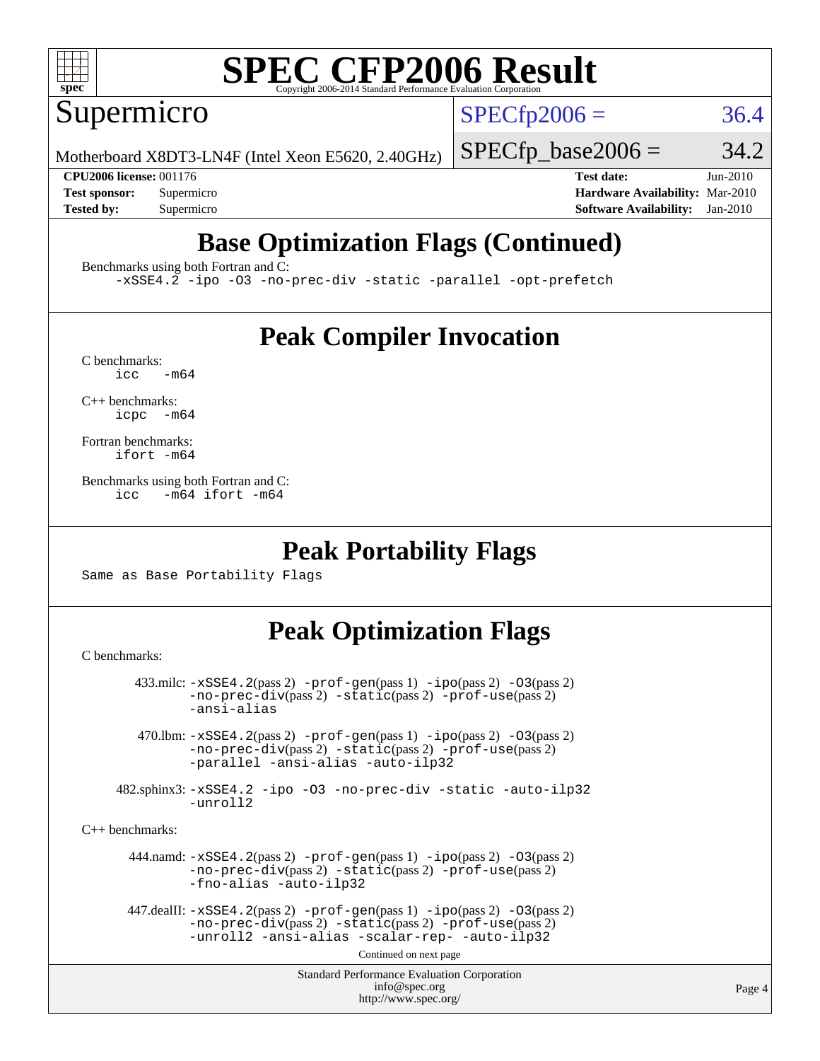Supermicro

 $SPECTp2006 = 36.4$ 

Motherboard X8DT3-LN4F (Intel Xeon E5620, 2.40GHz)

 $SPECTp\_base2006 = 34.2$ 

**[CPU2006 license:](http://www.spec.org/auto/cpu2006/Docs/result-fields.html#CPU2006license)** 001176 **[Test date:](http://www.spec.org/auto/cpu2006/Docs/result-fields.html#Testdate)** Jun-2010 **[Test sponsor:](http://www.spec.org/auto/cpu2006/Docs/result-fields.html#Testsponsor)** Supermicro **[Hardware Availability:](http://www.spec.org/auto/cpu2006/Docs/result-fields.html#HardwareAvailability)** Mar-2010 **[Tested by:](http://www.spec.org/auto/cpu2006/Docs/result-fields.html#Testedby)** Supermicro **[Software Availability:](http://www.spec.org/auto/cpu2006/Docs/result-fields.html#SoftwareAvailability)** Jan-2010

### **[Base Optimization Flags \(Continued\)](http://www.spec.org/auto/cpu2006/Docs/result-fields.html#BaseOptimizationFlags)**

[Benchmarks using both Fortran and C](http://www.spec.org/auto/cpu2006/Docs/result-fields.html#BenchmarksusingbothFortranandC):

[-xSSE4.2](http://www.spec.org/cpu2006/results/res2010q3/cpu2006-20100615-11710.flags.html#user_CC_FCbase_f-xSSE42_f91528193cf0b216347adb8b939d4107) [-ipo](http://www.spec.org/cpu2006/results/res2010q3/cpu2006-20100615-11710.flags.html#user_CC_FCbase_f-ipo) [-O3](http://www.spec.org/cpu2006/results/res2010q3/cpu2006-20100615-11710.flags.html#user_CC_FCbase_f-O3) [-no-prec-div](http://www.spec.org/cpu2006/results/res2010q3/cpu2006-20100615-11710.flags.html#user_CC_FCbase_f-no-prec-div) [-static](http://www.spec.org/cpu2006/results/res2010q3/cpu2006-20100615-11710.flags.html#user_CC_FCbase_f-static) [-parallel](http://www.spec.org/cpu2006/results/res2010q3/cpu2006-20100615-11710.flags.html#user_CC_FCbase_f-parallel) [-opt-prefetch](http://www.spec.org/cpu2006/results/res2010q3/cpu2006-20100615-11710.flags.html#user_CC_FCbase_f-opt-prefetch)

#### **[Peak Compiler Invocation](http://www.spec.org/auto/cpu2006/Docs/result-fields.html#PeakCompilerInvocation)**

 $C$  benchmarks:<br>icc  $-m64$ 

[C++ benchmarks:](http://www.spec.org/auto/cpu2006/Docs/result-fields.html#CXXbenchmarks) [icpc -m64](http://www.spec.org/cpu2006/results/res2010q3/cpu2006-20100615-11710.flags.html#user_CXXpeak_intel_icpc_64bit_bedb90c1146cab66620883ef4f41a67e)

[Fortran benchmarks](http://www.spec.org/auto/cpu2006/Docs/result-fields.html#Fortranbenchmarks): [ifort -m64](http://www.spec.org/cpu2006/results/res2010q3/cpu2006-20100615-11710.flags.html#user_FCpeak_intel_ifort_64bit_ee9d0fb25645d0210d97eb0527dcc06e)

[Benchmarks using both Fortran and C](http://www.spec.org/auto/cpu2006/Docs/result-fields.html#BenchmarksusingbothFortranandC): [icc -m64](http://www.spec.org/cpu2006/results/res2010q3/cpu2006-20100615-11710.flags.html#user_CC_FCpeak_intel_icc_64bit_0b7121f5ab7cfabee23d88897260401c) [ifort -m64](http://www.spec.org/cpu2006/results/res2010q3/cpu2006-20100615-11710.flags.html#user_CC_FCpeak_intel_ifort_64bit_ee9d0fb25645d0210d97eb0527dcc06e)

#### **[Peak Portability Flags](http://www.spec.org/auto/cpu2006/Docs/result-fields.html#PeakPortabilityFlags)**

Same as Base Portability Flags

### **[Peak Optimization Flags](http://www.spec.org/auto/cpu2006/Docs/result-fields.html#PeakOptimizationFlags)**

[C benchmarks](http://www.spec.org/auto/cpu2006/Docs/result-fields.html#Cbenchmarks):

```
Standard Performance Evaluation Corporation
                                           info@spec.org
                                         http://www.spec.org/
        433.milc: -xSSE4.2(pass 2) -prof-gen(pass 1) -ipo(pass 2) -O3(pass 2)
                -no-prec-div(pass 2) -static(pass 2) -prof-use(pass 2)
                -ansi-alias
         470.lbm: -xSSE4.2(pass 2) -prof-gen(pass 1) -ipo(pass 2) -O3(pass 2)
                -no-prec-div(pass 2) -static(pass 2) -prof-use(pass 2)
                -parallel -ansi-alias -auto-ilp32
      482.sphinx3: -xSSE4.2 -ipo -O3 -no-prec-div -static -auto-ilp32
                -unroll2
C++ benchmarks: 
        444.namd: -xSSE4.2(pass 2) -prof-gen(pass 1) -ipo(pass 2) -O3(pass 2)
                -no-prec-div(pass 2) -static(pass 2) -prof-use(pass 2)
                -fno-alias -auto-ilp32
      447.dealII: -xSSE4. 2(pass 2)-prof-gen-ipo(pass 2) -03(pass 2)
                -no-prec-div(pass 2) -static(pass 2) -prof-use(pass 2)
                -unroll2 -ansi-alias -scalar-rep- -auto-ilp32
                                         Continued on next page
```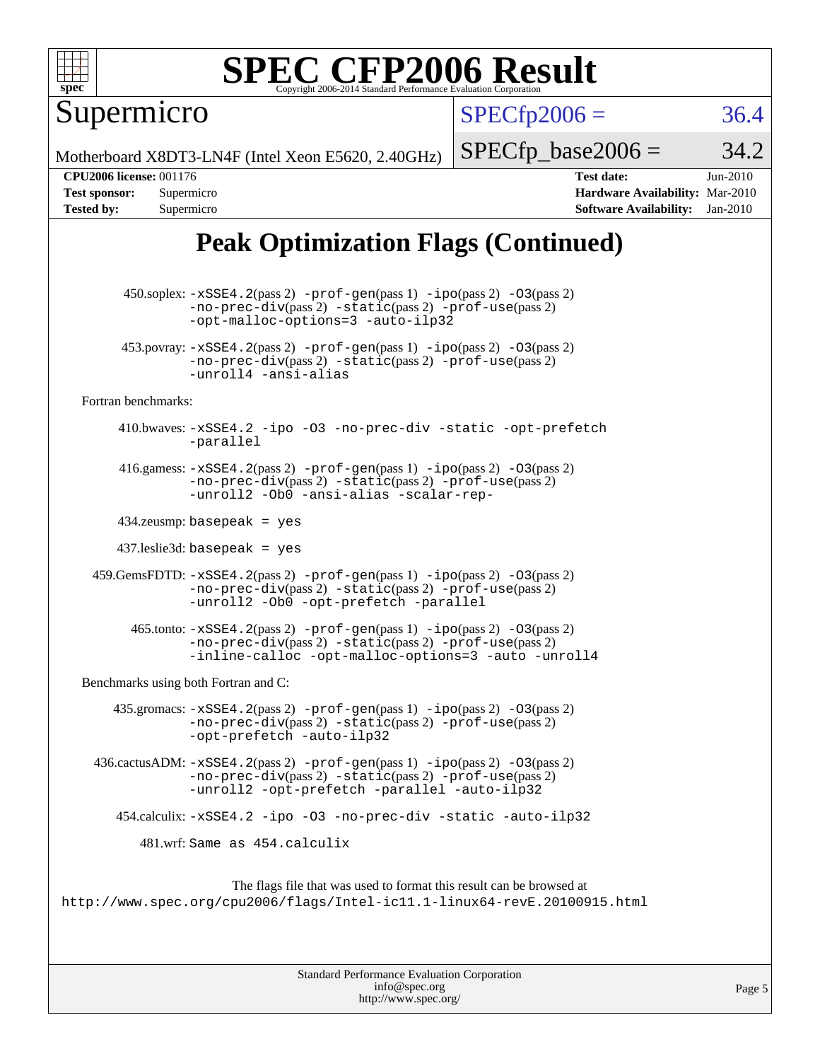

Supermicro

 $SPECTp2006 = 36.4$ 

Motherboard X8DT3-LN4F (Intel Xeon E5620, 2.40GHz)

 $SPECTp\_base2006 = 34.2$ 

**[CPU2006 license:](http://www.spec.org/auto/cpu2006/Docs/result-fields.html#CPU2006license)** 001176 **[Test date:](http://www.spec.org/auto/cpu2006/Docs/result-fields.html#Testdate)** Jun-2010 **[Test sponsor:](http://www.spec.org/auto/cpu2006/Docs/result-fields.html#Testsponsor)** Supermicro **[Hardware Availability:](http://www.spec.org/auto/cpu2006/Docs/result-fields.html#HardwareAvailability)** Mar-2010 **[Tested by:](http://www.spec.org/auto/cpu2006/Docs/result-fields.html#Testedby)** Supermicro **[Software Availability:](http://www.spec.org/auto/cpu2006/Docs/result-fields.html#SoftwareAvailability)** Jan-2010

### **[Peak Optimization Flags \(Continued\)](http://www.spec.org/auto/cpu2006/Docs/result-fields.html#PeakOptimizationFlags)**

 450.soplex: [-xSSE4.2](http://www.spec.org/cpu2006/results/res2010q3/cpu2006-20100615-11710.flags.html#user_peakPASS2_CXXFLAGSPASS2_LDFLAGS450_soplex_f-xSSE42_f91528193cf0b216347adb8b939d4107)(pass 2) [-prof-gen](http://www.spec.org/cpu2006/results/res2010q3/cpu2006-20100615-11710.flags.html#user_peakPASS1_CXXFLAGSPASS1_LDFLAGS450_soplex_prof_gen_e43856698f6ca7b7e442dfd80e94a8fc)(pass 1) [-ipo](http://www.spec.org/cpu2006/results/res2010q3/cpu2006-20100615-11710.flags.html#user_peakPASS2_CXXFLAGSPASS2_LDFLAGS450_soplex_f-ipo)(pass 2) [-O3](http://www.spec.org/cpu2006/results/res2010q3/cpu2006-20100615-11710.flags.html#user_peakPASS2_CXXFLAGSPASS2_LDFLAGS450_soplex_f-O3)(pass 2) [-no-prec-div](http://www.spec.org/cpu2006/results/res2010q3/cpu2006-20100615-11710.flags.html#user_peakPASS2_CXXFLAGSPASS2_LDFLAGS450_soplex_f-no-prec-div)(pass 2) [-static](http://www.spec.org/cpu2006/results/res2010q3/cpu2006-20100615-11710.flags.html#user_peakPASS2_CXXFLAGSPASS2_LDFLAGS450_soplex_f-static)(pass 2) [-prof-use](http://www.spec.org/cpu2006/results/res2010q3/cpu2006-20100615-11710.flags.html#user_peakPASS2_CXXFLAGSPASS2_LDFLAGS450_soplex_prof_use_bccf7792157ff70d64e32fe3e1250b55)(pass 2) [-opt-malloc-options=3](http://www.spec.org/cpu2006/results/res2010q3/cpu2006-20100615-11710.flags.html#user_peakOPTIMIZE450_soplex_f-opt-malloc-options_13ab9b803cf986b4ee62f0a5998c2238) [-auto-ilp32](http://www.spec.org/cpu2006/results/res2010q3/cpu2006-20100615-11710.flags.html#user_peakCXXOPTIMIZE450_soplex_f-auto-ilp32) 453.povray:  $-xSSE4$ . 2(pass 2)  $-prof-gen(pass 1) -ipo(pass 2) -O3(pass 2)$  $-prof-gen(pass 1) -ipo(pass 2) -O3(pass 2)$  $-prof-gen(pass 1) -ipo(pass 2) -O3(pass 2)$  $-prof-gen(pass 1) -ipo(pass 2) -O3(pass 2)$  $-prof-gen(pass 1) -ipo(pass 2) -O3(pass 2)$  $-prof-gen(pass 1) -ipo(pass 2) -O3(pass 2)$ [-no-prec-div](http://www.spec.org/cpu2006/results/res2010q3/cpu2006-20100615-11710.flags.html#user_peakPASS2_CXXFLAGSPASS2_LDFLAGS453_povray_f-no-prec-div)(pass 2) [-static](http://www.spec.org/cpu2006/results/res2010q3/cpu2006-20100615-11710.flags.html#user_peakPASS2_CXXFLAGSPASS2_LDFLAGS453_povray_f-static)(pass 2) [-prof-use](http://www.spec.org/cpu2006/results/res2010q3/cpu2006-20100615-11710.flags.html#user_peakPASS2_CXXFLAGSPASS2_LDFLAGS453_povray_prof_use_bccf7792157ff70d64e32fe3e1250b55)(pass 2) [-unroll4](http://www.spec.org/cpu2006/results/res2010q3/cpu2006-20100615-11710.flags.html#user_peakCXXOPTIMIZE453_povray_f-unroll_4e5e4ed65b7fd20bdcd365bec371b81f) [-ansi-alias](http://www.spec.org/cpu2006/results/res2010q3/cpu2006-20100615-11710.flags.html#user_peakCXXOPTIMIZE453_povray_f-ansi-alias) [Fortran benchmarks](http://www.spec.org/auto/cpu2006/Docs/result-fields.html#Fortranbenchmarks): 410.bwaves: [-xSSE4.2](http://www.spec.org/cpu2006/results/res2010q3/cpu2006-20100615-11710.flags.html#user_peakOPTIMIZE410_bwaves_f-xSSE42_f91528193cf0b216347adb8b939d4107) [-ipo](http://www.spec.org/cpu2006/results/res2010q3/cpu2006-20100615-11710.flags.html#user_peakOPTIMIZE410_bwaves_f-ipo) [-O3](http://www.spec.org/cpu2006/results/res2010q3/cpu2006-20100615-11710.flags.html#user_peakOPTIMIZE410_bwaves_f-O3) [-no-prec-div](http://www.spec.org/cpu2006/results/res2010q3/cpu2006-20100615-11710.flags.html#user_peakOPTIMIZE410_bwaves_f-no-prec-div) [-static](http://www.spec.org/cpu2006/results/res2010q3/cpu2006-20100615-11710.flags.html#user_peakOPTIMIZE410_bwaves_f-static) [-opt-prefetch](http://www.spec.org/cpu2006/results/res2010q3/cpu2006-20100615-11710.flags.html#user_peakOPTIMIZE410_bwaves_f-opt-prefetch) [-parallel](http://www.spec.org/cpu2006/results/res2010q3/cpu2006-20100615-11710.flags.html#user_peakOPTIMIZE410_bwaves_f-parallel) 416.gamess:  $-xSSE4$ . 2(pass 2)  $-prof-gen(pass 1) -ipo(pass 2) -O3(pass 2)$  $-prof-gen(pass 1) -ipo(pass 2) -O3(pass 2)$  $-prof-gen(pass 1) -ipo(pass 2) -O3(pass 2)$  $-prof-gen(pass 1) -ipo(pass 2) -O3(pass 2)$  $-prof-gen(pass 1) -ipo(pass 2) -O3(pass 2)$  $-prof-gen(pass 1) -ipo(pass 2) -O3(pass 2)$ [-no-prec-div](http://www.spec.org/cpu2006/results/res2010q3/cpu2006-20100615-11710.flags.html#user_peakPASS2_FFLAGSPASS2_LDFLAGS416_gamess_f-no-prec-div)(pass 2) [-static](http://www.spec.org/cpu2006/results/res2010q3/cpu2006-20100615-11710.flags.html#user_peakPASS2_FFLAGSPASS2_LDFLAGS416_gamess_f-static)(pass 2) [-prof-use](http://www.spec.org/cpu2006/results/res2010q3/cpu2006-20100615-11710.flags.html#user_peakPASS2_FFLAGSPASS2_LDFLAGS416_gamess_prof_use_bccf7792157ff70d64e32fe3e1250b55)(pass 2) [-unroll2](http://www.spec.org/cpu2006/results/res2010q3/cpu2006-20100615-11710.flags.html#user_peakOPTIMIZE416_gamess_f-unroll_784dae83bebfb236979b41d2422d7ec2) [-Ob0](http://www.spec.org/cpu2006/results/res2010q3/cpu2006-20100615-11710.flags.html#user_peakOPTIMIZE416_gamess_f-Ob_n_fbe6f6428adb7d4b74b1e99bb2444c2d) [-ansi-alias](http://www.spec.org/cpu2006/results/res2010q3/cpu2006-20100615-11710.flags.html#user_peakOPTIMIZE416_gamess_f-ansi-alias) [-scalar-rep-](http://www.spec.org/cpu2006/results/res2010q3/cpu2006-20100615-11710.flags.html#user_peakOPTIMIZE416_gamess_f-disablescalarrep_abbcad04450fb118e4809c81d83c8a1d) 434.zeusmp: basepeak = yes 437.leslie3d: basepeak = yes 459.GemsFDTD: [-xSSE4.2](http://www.spec.org/cpu2006/results/res2010q3/cpu2006-20100615-11710.flags.html#user_peakPASS2_FFLAGSPASS2_LDFLAGS459_GemsFDTD_f-xSSE42_f91528193cf0b216347adb8b939d4107)(pass 2) [-prof-gen](http://www.spec.org/cpu2006/results/res2010q3/cpu2006-20100615-11710.flags.html#user_peakPASS1_FFLAGSPASS1_LDFLAGS459_GemsFDTD_prof_gen_e43856698f6ca7b7e442dfd80e94a8fc)(pass 1) [-ipo](http://www.spec.org/cpu2006/results/res2010q3/cpu2006-20100615-11710.flags.html#user_peakPASS2_FFLAGSPASS2_LDFLAGS459_GemsFDTD_f-ipo)(pass 2) [-O3](http://www.spec.org/cpu2006/results/res2010q3/cpu2006-20100615-11710.flags.html#user_peakPASS2_FFLAGSPASS2_LDFLAGS459_GemsFDTD_f-O3)(pass 2) [-no-prec-div](http://www.spec.org/cpu2006/results/res2010q3/cpu2006-20100615-11710.flags.html#user_peakPASS2_FFLAGSPASS2_LDFLAGS459_GemsFDTD_f-no-prec-div)(pass 2) [-static](http://www.spec.org/cpu2006/results/res2010q3/cpu2006-20100615-11710.flags.html#user_peakPASS2_FFLAGSPASS2_LDFLAGS459_GemsFDTD_f-static)(pass 2) [-prof-use](http://www.spec.org/cpu2006/results/res2010q3/cpu2006-20100615-11710.flags.html#user_peakPASS2_FFLAGSPASS2_LDFLAGS459_GemsFDTD_prof_use_bccf7792157ff70d64e32fe3e1250b55)(pass 2) [-unroll2](http://www.spec.org/cpu2006/results/res2010q3/cpu2006-20100615-11710.flags.html#user_peakOPTIMIZE459_GemsFDTD_f-unroll_784dae83bebfb236979b41d2422d7ec2) [-Ob0](http://www.spec.org/cpu2006/results/res2010q3/cpu2006-20100615-11710.flags.html#user_peakOPTIMIZE459_GemsFDTD_f-Ob_n_fbe6f6428adb7d4b74b1e99bb2444c2d) [-opt-prefetch](http://www.spec.org/cpu2006/results/res2010q3/cpu2006-20100615-11710.flags.html#user_peakOPTIMIZE459_GemsFDTD_f-opt-prefetch) [-parallel](http://www.spec.org/cpu2006/results/res2010q3/cpu2006-20100615-11710.flags.html#user_peakOPTIMIZE459_GemsFDTD_f-parallel)  $465$ .tonto:  $-xSSE4$ .  $2(pass 2)$  [-prof-gen](http://www.spec.org/cpu2006/results/res2010q3/cpu2006-20100615-11710.flags.html#user_peakPASS1_FFLAGSPASS1_LDFLAGS465_tonto_prof_gen_e43856698f6ca7b7e442dfd80e94a8fc)(pass 1) [-ipo](http://www.spec.org/cpu2006/results/res2010q3/cpu2006-20100615-11710.flags.html#user_peakPASS2_FFLAGSPASS2_LDFLAGS465_tonto_f-ipo)(pass 2) -03(pass 2) [-no-prec-div](http://www.spec.org/cpu2006/results/res2010q3/cpu2006-20100615-11710.flags.html#user_peakPASS2_FFLAGSPASS2_LDFLAGS465_tonto_f-no-prec-div)(pass 2) [-static](http://www.spec.org/cpu2006/results/res2010q3/cpu2006-20100615-11710.flags.html#user_peakPASS2_FFLAGSPASS2_LDFLAGS465_tonto_f-static)(pass 2) [-prof-use](http://www.spec.org/cpu2006/results/res2010q3/cpu2006-20100615-11710.flags.html#user_peakPASS2_FFLAGSPASS2_LDFLAGS465_tonto_prof_use_bccf7792157ff70d64e32fe3e1250b55)(pass 2) [-inline-calloc](http://www.spec.org/cpu2006/results/res2010q3/cpu2006-20100615-11710.flags.html#user_peakOPTIMIZE465_tonto_f-inline-calloc) [-opt-malloc-options=3](http://www.spec.org/cpu2006/results/res2010q3/cpu2006-20100615-11710.flags.html#user_peakOPTIMIZE465_tonto_f-opt-malloc-options_13ab9b803cf986b4ee62f0a5998c2238) [-auto](http://www.spec.org/cpu2006/results/res2010q3/cpu2006-20100615-11710.flags.html#user_peakOPTIMIZE465_tonto_f-auto) [-unroll4](http://www.spec.org/cpu2006/results/res2010q3/cpu2006-20100615-11710.flags.html#user_peakOPTIMIZE465_tonto_f-unroll_4e5e4ed65b7fd20bdcd365bec371b81f) [Benchmarks using both Fortran and C](http://www.spec.org/auto/cpu2006/Docs/result-fields.html#BenchmarksusingbothFortranandC): 435.gromacs:  $-xSSE4$ . 2(pass 2)  $-prof-gen(pass 1) -ipo(pass 2) -O3(pass 2)$  $-prof-gen(pass 1) -ipo(pass 2) -O3(pass 2)$  $-prof-gen(pass 1) -ipo(pass 2) -O3(pass 2)$  $-prof-gen(pass 1) -ipo(pass 2) -O3(pass 2)$  $-prof-gen(pass 1) -ipo(pass 2) -O3(pass 2)$  $-prof-gen(pass 1) -ipo(pass 2) -O3(pass 2)$ [-no-prec-div](http://www.spec.org/cpu2006/results/res2010q3/cpu2006-20100615-11710.flags.html#user_peakPASS2_CFLAGSPASS2_FFLAGSPASS2_LDFLAGS435_gromacs_f-no-prec-div)(pass 2) [-static](http://www.spec.org/cpu2006/results/res2010q3/cpu2006-20100615-11710.flags.html#user_peakPASS2_CFLAGSPASS2_FFLAGSPASS2_LDFLAGS435_gromacs_f-static)(pass 2) [-prof-use](http://www.spec.org/cpu2006/results/res2010q3/cpu2006-20100615-11710.flags.html#user_peakPASS2_CFLAGSPASS2_FFLAGSPASS2_LDFLAGS435_gromacs_prof_use_bccf7792157ff70d64e32fe3e1250b55)(pass 2) [-opt-prefetch](http://www.spec.org/cpu2006/results/res2010q3/cpu2006-20100615-11710.flags.html#user_peakOPTIMIZE435_gromacs_f-opt-prefetch) [-auto-ilp32](http://www.spec.org/cpu2006/results/res2010q3/cpu2006-20100615-11710.flags.html#user_peakCOPTIMIZE435_gromacs_f-auto-ilp32) 436.cactusADM: [-xSSE4.2](http://www.spec.org/cpu2006/results/res2010q3/cpu2006-20100615-11710.flags.html#user_peakPASS2_CFLAGSPASS2_FFLAGSPASS2_LDFLAGS436_cactusADM_f-xSSE42_f91528193cf0b216347adb8b939d4107)(pass 2) [-prof-gen](http://www.spec.org/cpu2006/results/res2010q3/cpu2006-20100615-11710.flags.html#user_peakPASS1_CFLAGSPASS1_FFLAGSPASS1_LDFLAGS436_cactusADM_prof_gen_e43856698f6ca7b7e442dfd80e94a8fc)(pass 1) [-ipo](http://www.spec.org/cpu2006/results/res2010q3/cpu2006-20100615-11710.flags.html#user_peakPASS2_CFLAGSPASS2_FFLAGSPASS2_LDFLAGS436_cactusADM_f-ipo)(pass 2) [-O3](http://www.spec.org/cpu2006/results/res2010q3/cpu2006-20100615-11710.flags.html#user_peakPASS2_CFLAGSPASS2_FFLAGSPASS2_LDFLAGS436_cactusADM_f-O3)(pass 2) [-no-prec-div](http://www.spec.org/cpu2006/results/res2010q3/cpu2006-20100615-11710.flags.html#user_peakPASS2_CFLAGSPASS2_FFLAGSPASS2_LDFLAGS436_cactusADM_f-no-prec-div)(pass 2) [-static](http://www.spec.org/cpu2006/results/res2010q3/cpu2006-20100615-11710.flags.html#user_peakPASS2_CFLAGSPASS2_FFLAGSPASS2_LDFLAGS436_cactusADM_f-static)(pass 2) [-prof-use](http://www.spec.org/cpu2006/results/res2010q3/cpu2006-20100615-11710.flags.html#user_peakPASS2_CFLAGSPASS2_FFLAGSPASS2_LDFLAGS436_cactusADM_prof_use_bccf7792157ff70d64e32fe3e1250b55)(pass 2) [-unroll2](http://www.spec.org/cpu2006/results/res2010q3/cpu2006-20100615-11710.flags.html#user_peakOPTIMIZE436_cactusADM_f-unroll_784dae83bebfb236979b41d2422d7ec2) [-opt-prefetch](http://www.spec.org/cpu2006/results/res2010q3/cpu2006-20100615-11710.flags.html#user_peakOPTIMIZE436_cactusADM_f-opt-prefetch) [-parallel](http://www.spec.org/cpu2006/results/res2010q3/cpu2006-20100615-11710.flags.html#user_peakOPTIMIZE436_cactusADM_f-parallel) [-auto-ilp32](http://www.spec.org/cpu2006/results/res2010q3/cpu2006-20100615-11710.flags.html#user_peakCOPTIMIZE436_cactusADM_f-auto-ilp32) 454.calculix: [-xSSE4.2](http://www.spec.org/cpu2006/results/res2010q3/cpu2006-20100615-11710.flags.html#user_peakOPTIMIZE454_calculix_f-xSSE42_f91528193cf0b216347adb8b939d4107) [-ipo](http://www.spec.org/cpu2006/results/res2010q3/cpu2006-20100615-11710.flags.html#user_peakOPTIMIZE454_calculix_f-ipo) [-O3](http://www.spec.org/cpu2006/results/res2010q3/cpu2006-20100615-11710.flags.html#user_peakOPTIMIZE454_calculix_f-O3) [-no-prec-div](http://www.spec.org/cpu2006/results/res2010q3/cpu2006-20100615-11710.flags.html#user_peakOPTIMIZE454_calculix_f-no-prec-div) [-static](http://www.spec.org/cpu2006/results/res2010q3/cpu2006-20100615-11710.flags.html#user_peakOPTIMIZE454_calculix_f-static) [-auto-ilp32](http://www.spec.org/cpu2006/results/res2010q3/cpu2006-20100615-11710.flags.html#user_peakCOPTIMIZE454_calculix_f-auto-ilp32) 481.wrf: Same as 454.calculix The flags file that was used to format this result can be browsed at <http://www.spec.org/cpu2006/flags/Intel-ic11.1-linux64-revE.20100915.html>